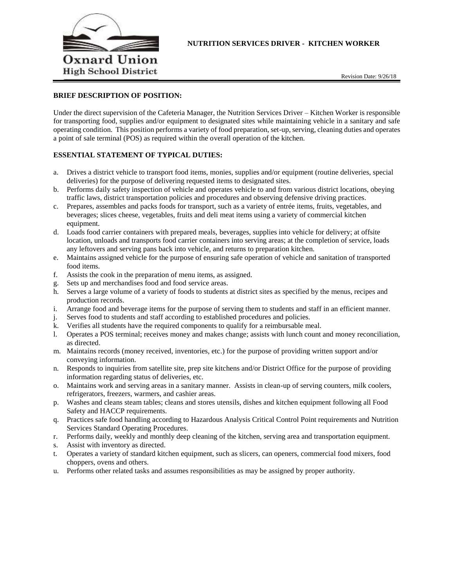

# **NUTRITION SERVICES DRIVER - KITCHEN WORKER**

## **BRIEF DESCRIPTION OF POSITION:**

Under the direct supervision of the Cafeteria Manager, the Nutrition Services Driver – Kitchen Worker is responsible for transporting food, supplies and/or equipment to designated sites while maintaining vehicle in a sanitary and safe operating condition. This position performs a variety of food preparation, set-up, serving, cleaning duties and operates a point of sale terminal (POS) as required within the overall operation of the kitchen.

## **ESSENTIAL STATEMENT OF TYPICAL DUTIES:**

- a. Drives a district vehicle to transport food items, monies, supplies and/or equipment (routine deliveries, special deliveries) for the purpose of delivering requested items to designated sites.
- b. Performs daily safety inspection of vehicle and operates vehicle to and from various district locations, obeying traffic laws, district transportation policies and procedures and observing defensive driving practices.
- c. Prepares, assembles and packs foods for transport, such as a variety of entrée items, fruits, vegetables, and beverages; slices cheese, vegetables, fruits and deli meat items using a variety of commercial kitchen equipment.
- d. Loads food carrier containers with prepared meals, beverages, supplies into vehicle for delivery; at offsite location, unloads and transports food carrier containers into serving areas; at the completion of service, loads any leftovers and serving pans back into vehicle, and returns to preparation kitchen.
- e. Maintains assigned vehicle for the purpose of ensuring safe operation of vehicle and sanitation of transported food items.
- f. Assists the cook in the preparation of menu items, as assigned.
- g. Sets up and merchandises food and food service areas.
- h. Serves a large volume of a variety of foods to students at district sites as specified by the menus, recipes and production records.
- i. Arrange food and beverage items for the purpose of serving them to students and staff in an efficient manner.
- j. Serves food to students and staff according to established procedures and policies.
- k. Verifies all students have the required components to qualify for a reimbursable meal.
- l. Operates a POS terminal; receives money and makes change; assists with lunch count and money reconciliation, as directed.
- m. Maintains records (money received, inventories, etc.) for the purpose of providing written support and/or conveying information.
- n. Responds to inquiries from satellite site, prep site kitchens and/or District Office for the purpose of providing information regarding status of deliveries, etc.
- o. Maintains work and serving areas in a sanitary manner. Assists in clean-up of serving counters, milk coolers, refrigerators, freezers, warmers, and cashier areas.
- p. Washes and cleans steam tables; cleans and stores utensils, dishes and kitchen equipment following all Food Safety and HACCP requirements.
- q. Practices safe food handling according to Hazardous Analysis Critical Control Point requirements and Nutrition Services Standard Operating Procedures.
- r. Performs daily, weekly and monthly deep cleaning of the kitchen, serving area and transportation equipment.
- s. Assist with inventory as directed.
- t. Operates a variety of standard kitchen equipment, such as slicers, can openers, commercial food mixers, food choppers, ovens and others.
- u. Performs other related tasks and assumes responsibilities as may be assigned by proper authority.